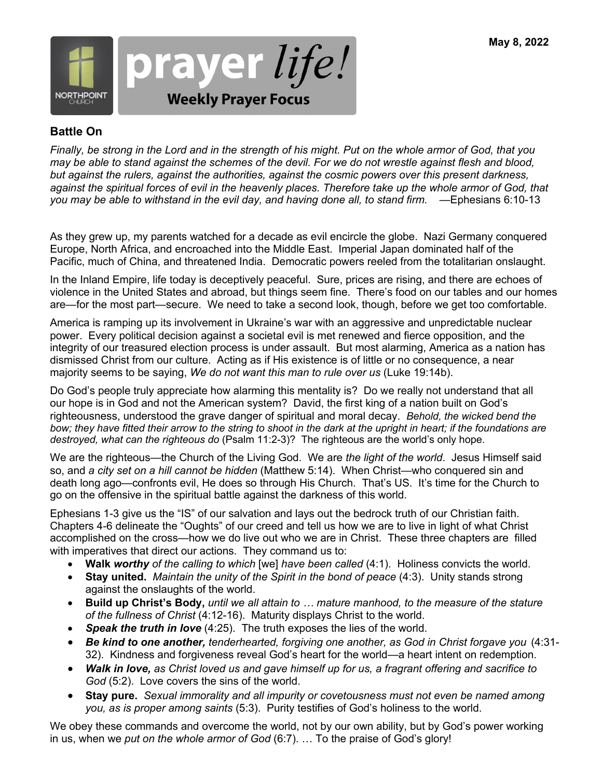

### **Battle On**

*Finally, be strong in the Lord and in the strength of his might. Put on the whole armor of God, that you may be able to stand against the schemes of the devil. For we do not wrestle against flesh and blood, but against the rulers, against the authorities, against the cosmic powers over this present darkness, against the spiritual forces of evil in the heavenly places. Therefore take up the whole armor of God, that you may be able to withstand in the evil day, and having done all, to stand firm.* —Ephesians 6:10-13

As they grew up, my parents watched for a decade as evil encircle the globe. Nazi Germany conquered Europe, North Africa, and encroached into the Middle East. Imperial Japan dominated half of the Pacific, much of China, and threatened India. Democratic powers reeled from the totalitarian onslaught.

In the Inland Empire, life today is deceptively peaceful. Sure, prices are rising, and there are echoes of violence in the United States and abroad, but things seem fine. There's food on our tables and our homes are—for the most part—secure. We need to take a second look, though, before we get too comfortable.

America is ramping up its involvement in Ukraine's war with an aggressive and unpredictable nuclear power. Every political decision against a societal evil is met renewed and fierce opposition, and the integrity of our treasured election process is under assault. But most alarming, America as a nation has dismissed Christ from our culture. Acting as if His existence is of little or no consequence, a near majority seems to be saying, *We do not want this man to rule over us* (Luke 19:14b).

Do God's people truly appreciate how alarming this mentality is? Do we really not understand that all our hope is in God and not the American system? David, the first king of a nation built on God's righteousness, understood the grave danger of spiritual and moral decay. *Behold, the wicked bend the*  bow; they have fitted their arrow to the string to shoot in the dark at the upright in heart; if the foundations are *destroyed, what can the righteous do* (Psalm 11:2-3)? The righteous are the world's only hope.

We are the righteous—the Church of the Living God. We are *the light of the world*. Jesus Himself said so, and *a city set on a hill cannot be hidden* (Matthew 5:14). When Christ—who conquered sin and death long ago—confronts evil, He does so through His Church. That's US. It's time for the Church to go on the offensive in the spiritual battle against the darkness of this world.

Ephesians 1-3 give us the "IS" of our salvation and lays out the bedrock truth of our Christian faith. Chapters 4-6 delineate the "Oughts" of our creed and tell us how we are to live in light of what Christ accomplished on the cross—how we do live out who we are in Christ. These three chapters are filled with imperatives that direct our actions. They command us to:

- **Walk** *worthy of the calling to which* [we] *have been called* (4:1). Holiness convicts the world.
- **Stay united.** *Maintain the unity of the Spirit in the bond of peace* (4:3). Unity stands strong against the onslaughts of the world.
- **Build up Christ's Body,** *until we all attain to … mature manhood, to the measure of the stature of the fullness of Christ* (4:12-16). Maturity displays Christ to the world.
- *Speak the truth in love* (4:25). The truth exposes the lies of the world.
- *Be kind to one another, tenderhearted, forgiving one another, as God in Christ forgave you* (4:31- 32). Kindness and forgiveness reveal God's heart for the world—a heart intent on redemption.
- *Walk in love, as Christ loved us and gave himself up for us, a fragrant offering and sacrifice to God* (5:2). Love covers the sins of the world.
- **Stay pure.** *Sexual immorality and all impurity or covetousness must not even be named among you, as is proper among saints* (5:3). Purity testifies of God's holiness to the world.

We obey these commands and overcome the world, not by our own ability, but by God's power working in us, when we *put on the whole armor of God* (6:7). … To the praise of God's glory!